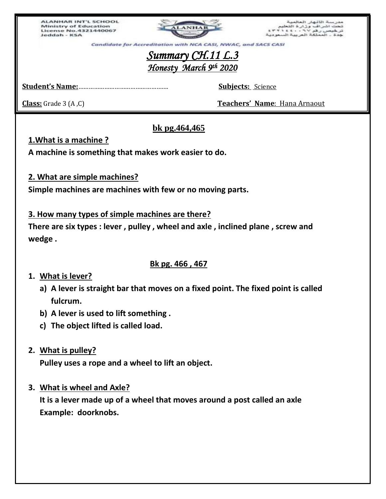ALANHAR INT'L SCHOOL Ministry of Education License No.4321440067<br>Jeddah - KSA



مدرسة اللاتهار العالمية<br>تحت اشراف وزارة التعليم<br>ترخيص رقم ٢٧ ، ، ٤٤ : ٢٧ :<br>جدة .. المملكة العربية السعودية

**Candidate for Accreditation** NCA CASI, NWAC, and SACS CASI

# *Summary CH.11 L.3 Honesty March 9th 2020*

**Student's Name:**……………………………………………. **Subjects:** Science

**Class:** Grade 3 (A ,C) **Teachers' Name**: Hana Arnaout

## **bk pg.464,465**

**1.What is a machine ?** 

**A machine is something that makes work easier to do.** 

**2. What are simple machines?** 

**Simple machines are machines with few or no moving parts.** 

### **3. How many types of simple machines are there?**

**There are six types : lever , pulley , wheel and axle , inclined plane , screw and wedge .** 

# **Bk pg. 466 , 467**

### **1. What is lever?**

- **a) A lever is straight bar that moves on a fixed point. The fixed point is called fulcrum.**
- **b) A lever is used to lift something .**
- **c) The object lifted is called load.**

# **2. What is pulley?**

**Pulley uses a rope and a wheel to lift an object.** 

## **3. What is wheel and Axle?**

**It is a lever made up of a wheel that moves around a post called an axle Example: doorknobs.**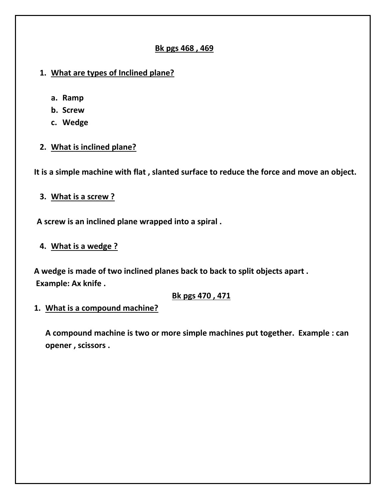#### **Bk pgs 468 , 469**

### **1. What are types of Inclined plane?**

- **a. Ramp**
- **b. Screw**
- **c. Wedge**
- **2. What is inclined plane?**

**It is a simple machine with flat , slanted surface to reduce the force and move an object.** 

**3. What is a screw ?** 

**A screw is an inclined plane wrapped into a spiral .** 

**4. What is a wedge ?** 

**A wedge is made of two inclined planes back to back to split objects apart . Example: Ax knife .** 

#### **Bk pgs 470 , 471**

#### **1. What is a compound machine?**

**A compound machine is two or more simple machines put together. Example : can opener , scissors .**